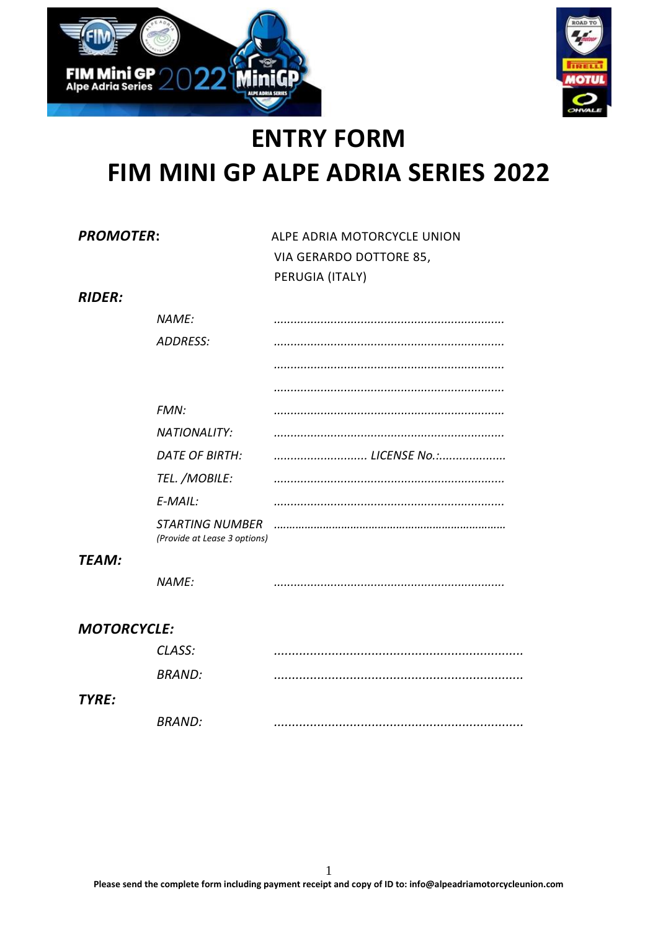



# **ENTRY FORM** FIM MINI GP ALPE ADRIA SERIES 2022

**PROMOTER:** 

ALPE ADRIA MOTORCYCLE UNION VIA GERARDO DOTTORE 85, PERUGIA (ITALY)

## **RIDFR:**

| NAME:                                                  |  |
|--------------------------------------------------------|--|
| <b>ADDRESS:</b>                                        |  |
|                                                        |  |
|                                                        |  |
| FMN:                                                   |  |
| <b>NATIONALITY:</b>                                    |  |
| <b>DATE OF BIRTH:</b>                                  |  |
| TEL. /MOBILE:                                          |  |
| $E$ -MAIL:                                             |  |
| <b>STARTING NUMBER</b><br>(Provide at Lease 3 options) |  |

## TEAM:

## **MOTORCYCLE:**

|              | CLASS:        |  |
|--------------|---------------|--|
|              | BRAND:        |  |
| <b>TYRE:</b> |               |  |
|              | <b>BRAND:</b> |  |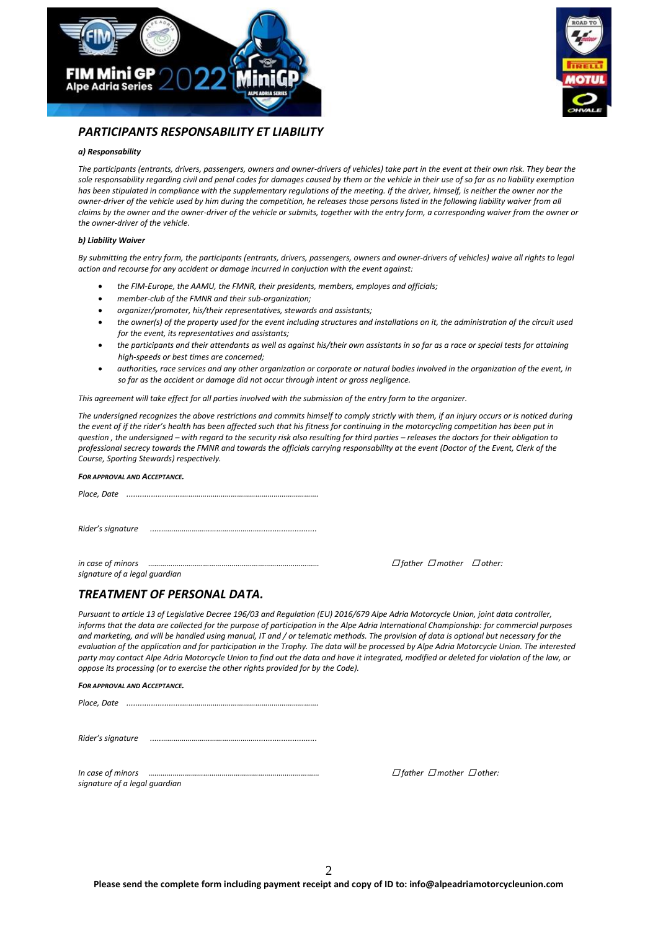



## *PARTICIPANTS RESPONSABILITY ET LIABILITY*

#### *a) Responsability*

*The participants (entrants, drivers, passengers, owners and owner-drivers of vehicles) take part in the event at their own risk. They bear the sole responsability regarding civil and penal codes for damages caused by them or the vehicle in their use of so far as no liability exemption*  has been stipulated in compliance with the supplementary regulations of the meeting. If the driver, himself, is neither the owner nor the *owner-driver of the vehicle used by him during the competition, he releases those persons listed in the following liability waiver from all claims by the owner and the owner-driver of the vehicle or submits, together with the entry form, a corresponding waiver from the owner or the owner-driver of the vehicle.* 

#### *b) Liability Waiver*

*By submitting the entry form, the participants (entrants, drivers, passengers, owners and owner-drivers of vehicles) waive all rights to legal action and recourse for any accident or damage incurred in conjuction with the event against:* 

- *the FIM-Europe, the AAMU, the FMNR, their presidents, members, employes and officials;*
- *member-club of the FMNR and their sub-organization;*
- *organizer/promoter, his/their representatives, stewards and assistants;*
- *the owner(s) of the property used for the event including structures and installations on it, the administration of the circuit used for the event, its representatives and assistants;*
- *the participants and their attendants as well as against his/their own assistants in so far as a race or special tests for attaining high-speeds or best times are concerned;*
- *authorities, race services and any other organization or corporate or natural bodies involved in the organization of the event, in so far as the accident or damage did not occur through intent or gross negligence.*

*This agreement will take effect for all parties involved with the submission of the entry form to the organizer.* 

*The undersigned recognizes the above restrictions and commits himself to comply strictly with them, if an injury occurs or is noticed during the event of if the rider's health has been affected such that his fitness for continuing in the motorcycling competition has been put in question , the undersigned – with regard to the security risk also resulting for third parties – releases the doctors for their obligation to professional secrecy towards the FMNR and towards the officials carrying responsability at the event (Doctor of the Event, Clerk of the Course, Sporting Stewards) respectively.* 

#### *FOR APPROVAL AND ACCEPTANCE.*

| Place, Date |  |
|-------------|--|
|-------------|--|

*Rider's signature .....…………………………………………..........................*

*signature of a legal guardian* 

*in case of minors ………………………………………………………………………… father mother other:*

### *TREATMENT OF PERSONAL DATA.*

*Pursuant to article 13 of Legislative Decree 196/03 and Regulation (EU) 2016/679 Alpe Adria Motorcycle Union, joint data controller, informs that the data are collected for the purpose of participation in the Alpe Adria International Championship: for commercial purposes and marketing, and will be handled using manual, IT and / or telematic methods. The provision of data is optional but necessary for the evaluation of the application and for participation in the Trophy. The data will be processed by Alpe Adria Motorcycle Union. The interested party may contact Alpe Adria Motorcycle Union to find out the data and have it integrated, modified or deleted for violation of the law, or oppose its processing (or to exercise the other rights provided for by the Code).*

#### *FOR APPROVAL AND ACCEPTANCE.*

*Place, Date .........................………………………………………………………….*

*Rider's signature .....…………………………………………..........................*

*In case of minors ………………………………………………………………………… father mother other: signature of a legal guardian*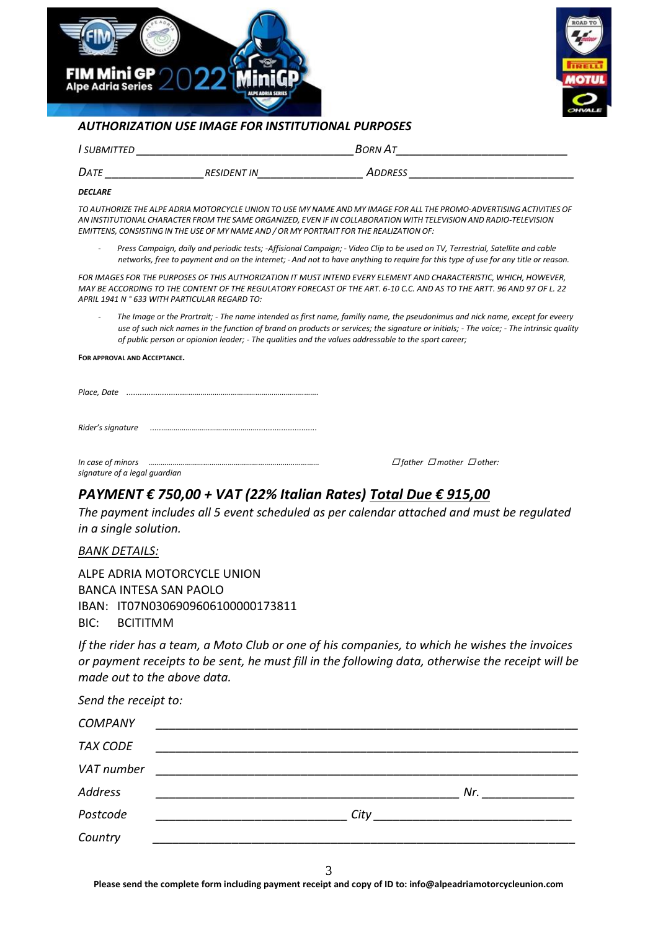



## *AUTHORIZATION USE IMAGE FOR INSTITUTIONAL PURPOSES*

| l submitted |                    | BORN AT |  |
|-------------|--------------------|---------|--|
| DATE        | <b>RESIDENT IN</b> | ADDRESS |  |

### *DECLARE*

TO AUTHORIZE THE AI PE ADRIA MOTORCYCLE UNION TO USE MY NAME AND MY IMAGE FOR ALL THE PROMO-ADVERTISING ACTIVITIES OF *AN INSTITUTIONAL CHARACTER FROM THE SAME ORGANIZED, EVEN IF IN COLLABORATION WITH TELEVISION AND RADIO-TELEVISION EMITTENS, CONSISTING INTHE USE OF MY NAME AND / OR MY PORTRAIT FOR THE REALIZATION OF:*

- *Press Campaign, daily and periodic tests; -Affisional Campaign; - Video Clip to be used on TV, Terrestrial, Satellite and cable networks, free to payment and on the internet; - And not to have anything to require for this type of use for any title or reason.*

*FOR IMAGES FOR THE PURPOSES OF THIS AUTHORIZATION IT MUST INTEND EVERY ELEMENT AND CHARACTERISTIC, WHICH, HOWEVER, MAY BE ACCORDING TO THE CONTENT OF THE REGULATORY FORECAST OF THE ART. 6-10 C.C. AND AS TO THE ARTT. 96 AND 97 OF L. 22 APRIL 1941 N ° 633 WITH PARTICULAR REGARD TO:*

- *The Image or the Prortrait; - The name intended as first name, familiy name, the pseudonimus and nick name, except for eveery use of such nick names in the function of brand on products or services; the signature or initials; - The voice; - The intrinsic quality of public person or opionion leader; - The qualities and the values addressable to the sport career;*

**FOR APPROVAL AND ACCEPTANCE.**

*Place, Date .........................………………………………………………………….*

*Rider's signature .....…………………………………………..........................*

*In case of minors ………………………………………………………………………… father mother other: signature of a legal guardian* 

# *PAYMENT € 750,00 + VAT (22% Italian Rates) Total Due € 915,00*

*The payment includes all 5 event scheduled as per calendar attached and must be regulated in a single solution.*

*BANK DETAILS:*

ALPE ADRIA MOTORCYCLE UNION BANCA INTESA SAN PAOLO IBAN: IT07N0306909606100000173811 BIC: BCITITMM

*If the rider has a team, a Moto Club or one of his companies, to which he wishes the invoices or payment receipts to be sent, he must fill in the following data, otherwise the receipt will be made out to the above data.*

*Send the receipt to:* 

| <b>COMPANY</b>  |     |
|-----------------|-----|
| <b>TAX CODE</b> |     |
| VAT number      |     |
| <b>Address</b>  | Nr. |
| Postcode        |     |
| Country         |     |